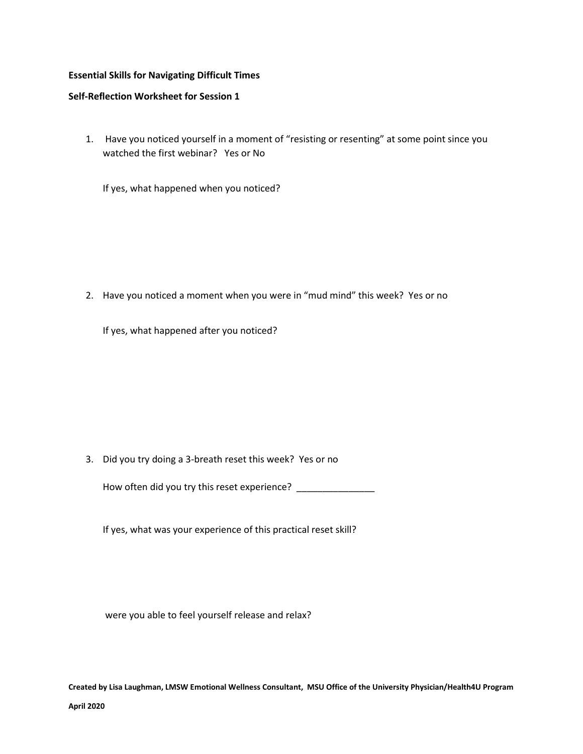## **Essential Skills for Navigating Difficult Times**

# **Self-Reflection Worksheet for Session 1**

1. Have you noticed yourself in a moment of "resisting or resenting" at some point since you watched the first webinar? Yes or No

If yes, what happened when you noticed?

2. Have you noticed a moment when you were in "mud mind" this week? Yes or no

If yes, what happened after you noticed?

3. Did you try doing a 3-breath reset this week? Yes or no

How often did you try this reset experience? \_\_\_\_\_\_\_\_\_\_\_\_\_\_\_\_

If yes, what was your experience of this practical reset skill?

were you able to feel yourself release and relax?